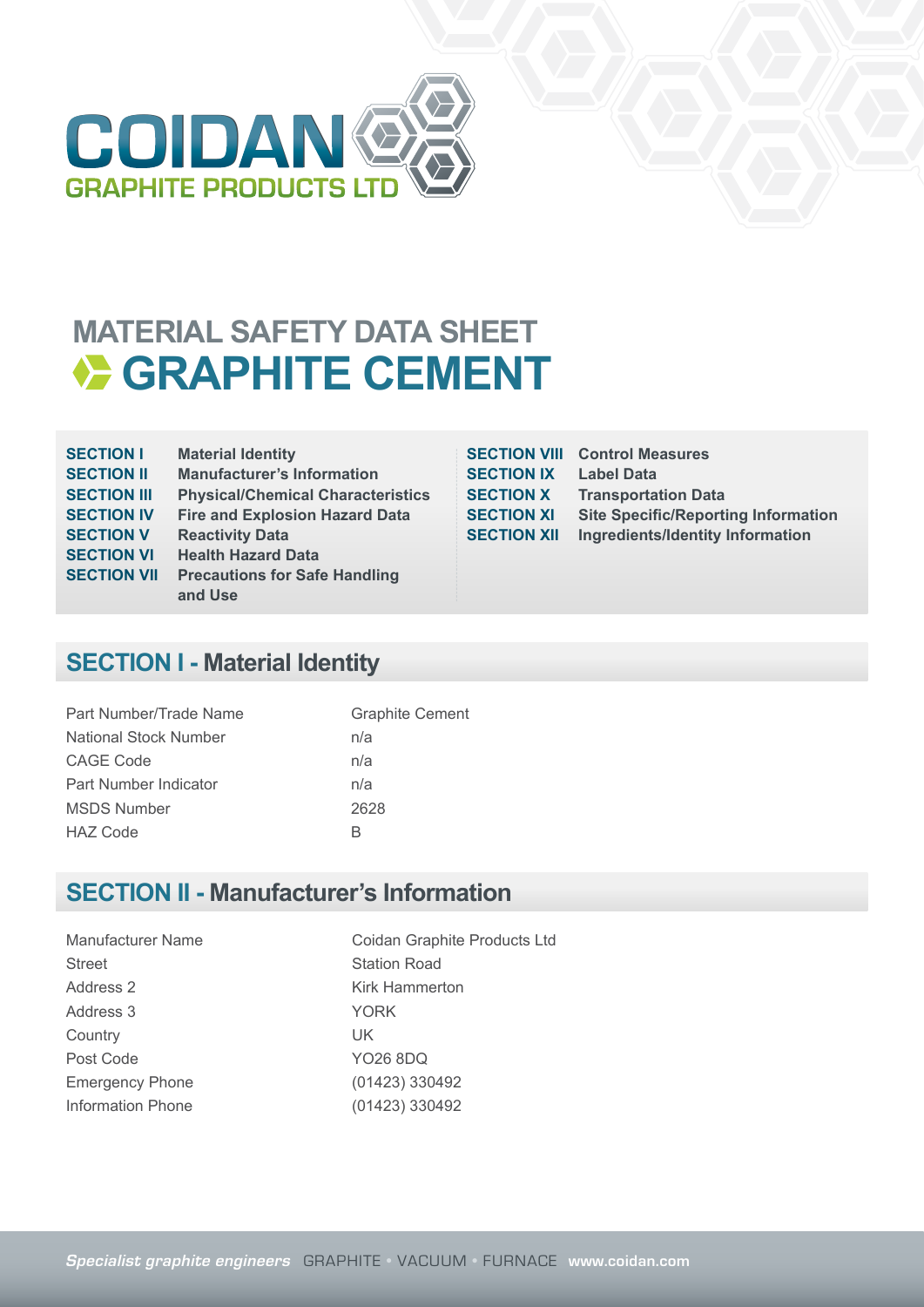

## **MATERIAL SAFETY DATA SHEET EXAMPHITE CEMENT**

| <b>SECTION I</b>   | <b>Material Identity</b>                 |
|--------------------|------------------------------------------|
| <b>SECTION II</b>  | <b>Manufacturer's Information</b>        |
| <b>SECTION III</b> | <b>Physical/Chemical Characteristics</b> |
| <b>SECTION IV</b>  | <b>Fire and Explosion Hazard Data</b>    |
| <b>SECTION V</b>   | <b>Reactivity Data</b>                   |
| <b>SECTION VI</b>  | <b>Health Hazard Data</b>                |
| <b>SECTION VII</b> | <b>Precautions for Safe Handling</b>     |
|                    | and Use                                  |
|                    |                                          |

**SECTION IX Label Data**

**SECTION VIII Control Measures SECTION X Transportation Data SECTION XI Site Specific/Reporting Information SECTION XII** Ingredients/Identity Information

## **SECTION I - Material Identity**

| Part Number/Trade Name       | <b>Graphite Cement</b> |
|------------------------------|------------------------|
| <b>National Stock Number</b> | n/a                    |
| <b>CAGE Code</b>             | n/a                    |
| Part Number Indicator        | n/a                    |
| <b>MSDS Number</b>           | 2628                   |
| <b>HAZ Code</b>              | К                      |

#### **SECTION II - Manufacturer's Information**

Street Station Road Address 2 Kirk Hammerton Address 3 YORK Country UK Post Code YO26 8DQ Emergency Phone (01423) 330492 Information Phone (01423) 330492

Manufacturer Name Coidan Graphite Products Ltd

**Specialist graphite engineers** GRAPHITE • VACUUM • FURNACE **www.coidan.com**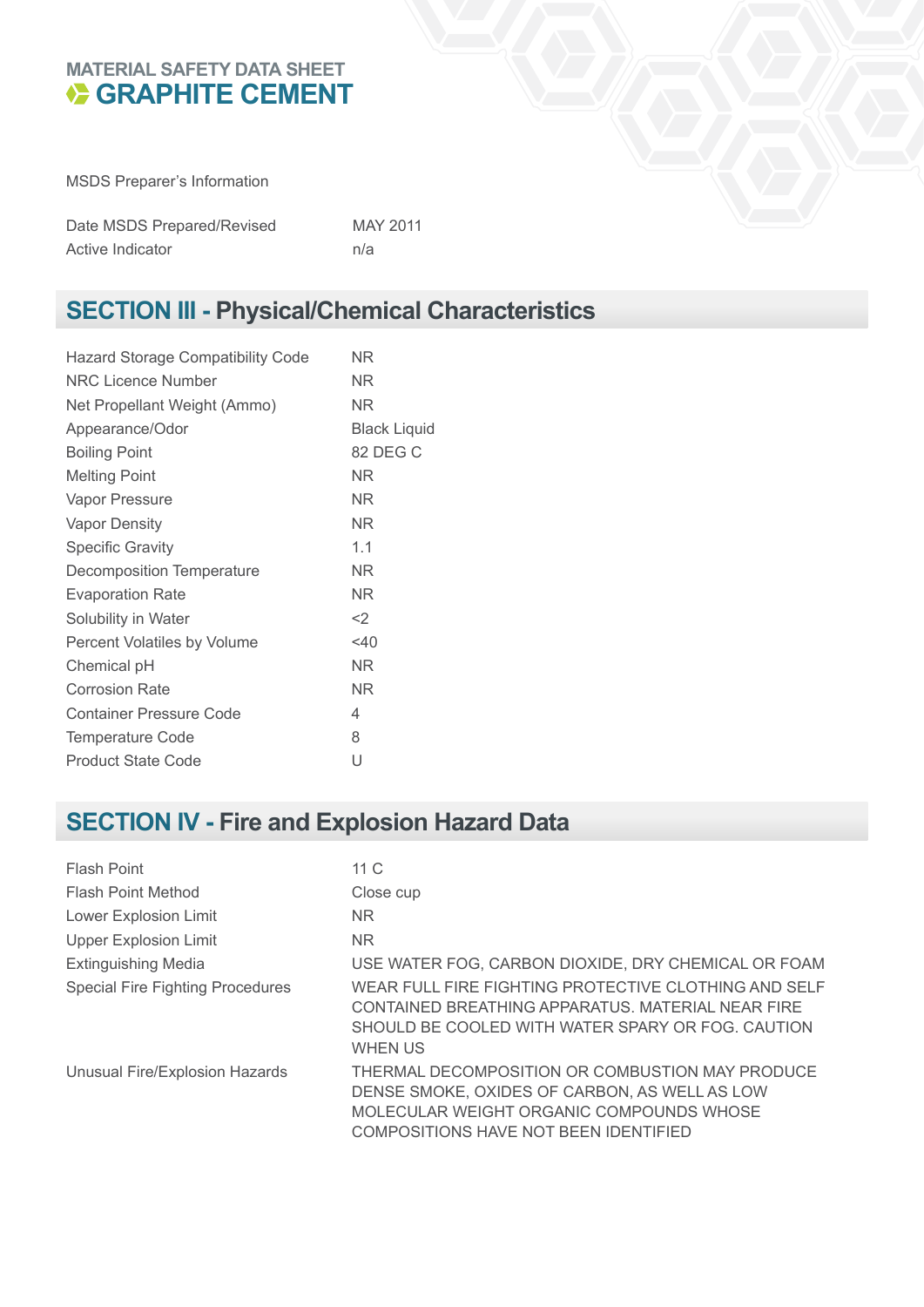#### **MATERIAL SAFETY DATA SHEET GRAPHITE CEMENT**

MSDS Preparer's Information

| Date MSDS Prepared/Revised | MAY 2011 |
|----------------------------|----------|
| Active Indicator           | n/a      |

## **SECTION III - Physical/Chemical Characteristics**

| <b>Hazard Storage Compatibility Code</b> | ΝR                  |
|------------------------------------------|---------------------|
| NRC Licence Number                       | NR.                 |
| Net Propellant Weight (Ammo)             | ΝR                  |
| Appearance/Odor                          | <b>Black Liquid</b> |
| <b>Boiling Point</b>                     | 82 DEG C            |
| <b>Melting Point</b>                     | ΝR                  |
| Vapor Pressure                           | ΝR                  |
| <b>Vapor Density</b>                     | NR.                 |
| <b>Specific Gravity</b>                  | 1.1                 |
| <b>Decomposition Temperature</b>         | NR.                 |
| <b>Evaporation Rate</b>                  | ΝR                  |
| Solubility in Water                      | $<$ 2               |
| Percent Volatiles by Volume              | $<$ 40              |
| Chemical pH                              | NR.                 |
| <b>Corrosion Rate</b>                    | NR.                 |
| <b>Container Pressure Code</b>           | 4                   |
| <b>Temperature Code</b>                  | 8                   |
| <b>Product State Code</b>                | U                   |

## **SECTION IV - Fire and Explosion Hazard Data**

| Flash Point                             | 11 $C$                                                                                                                                                                                |
|-----------------------------------------|---------------------------------------------------------------------------------------------------------------------------------------------------------------------------------------|
| <b>Flash Point Method</b>               | Close cup                                                                                                                                                                             |
| Lower Explosion Limit                   | NR.                                                                                                                                                                                   |
| <b>Upper Explosion Limit</b>            | N <sub>R</sub>                                                                                                                                                                        |
| <b>Extinguishing Media</b>              | USE WATER FOG, CARBON DIOXIDE, DRY CHEMICAL OR FOAM                                                                                                                                   |
| <b>Special Fire Fighting Procedures</b> | WEAR FULL FIRE FIGHTING PROTECTIVE CLOTHING AND SELF<br>CONTAINED BREATHING APPARATUS, MATERIAL NEAR FIRE<br>SHOULD BE COOLED WITH WATER SPARY OR FOG. CAUTION<br><b>WHEN US</b>      |
| Unusual Fire/Explosion Hazards          | THERMAL DECOMPOSITION OR COMBUSTION MAY PRODUCE<br>DENSE SMOKE, OXIDES OF CARBON, AS WELL AS LOW<br>MOLECULAR WEIGHT ORGANIC COMPOUNDS WHOSE<br>COMPOSITIONS HAVE NOT BEEN IDENTIFIED |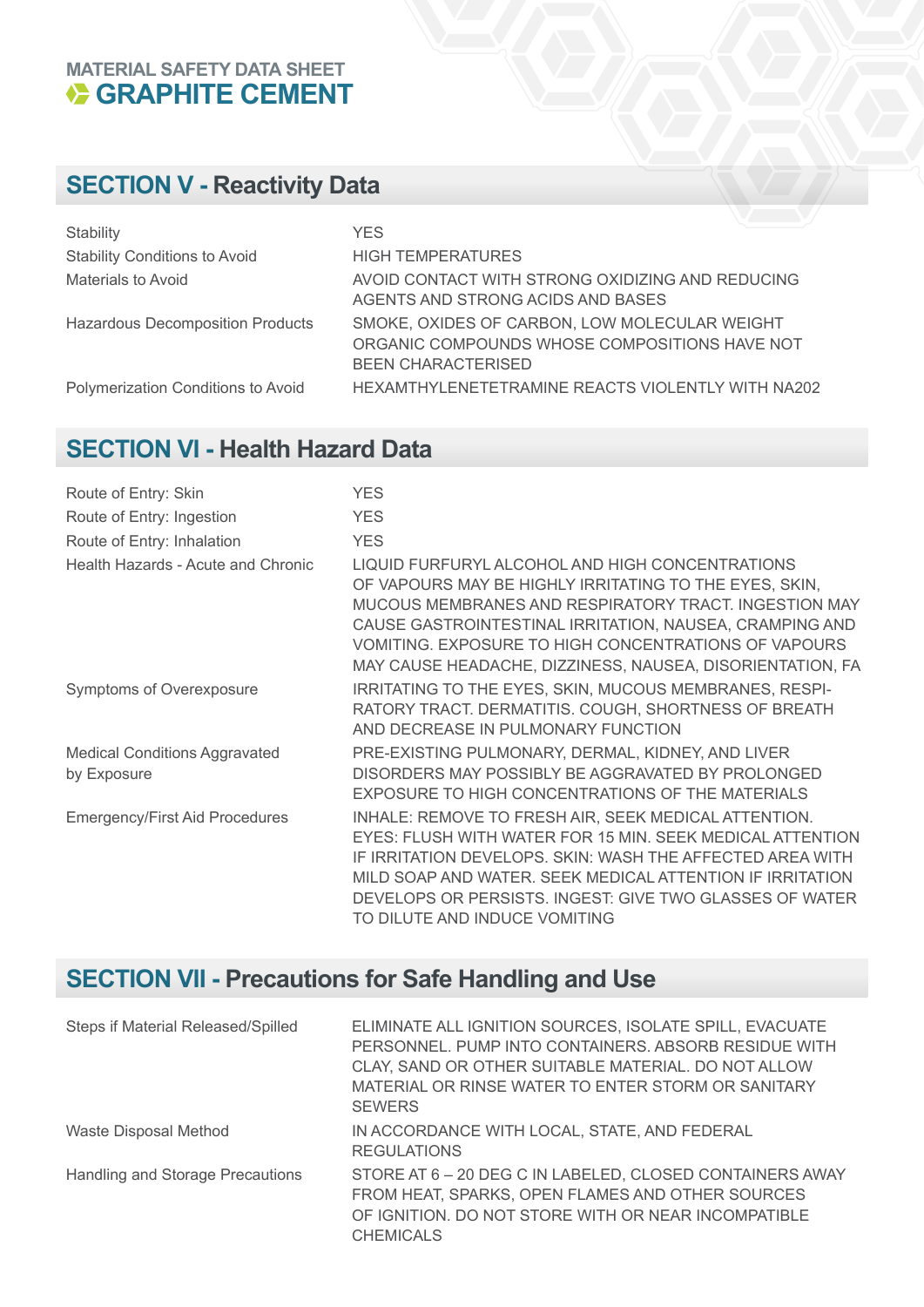# **MATERIAL SAFETY DATA SHEET CEMENT**

## **SECTION V - Reactivity Data**

| Stability                               | YES.                                                                                                                        |
|-----------------------------------------|-----------------------------------------------------------------------------------------------------------------------------|
| <b>Stability Conditions to Avoid</b>    | <b>HIGH TEMPERATURES</b>                                                                                                    |
| Materials to Avoid                      | AVOID CONTACT WITH STRONG OXIDIZING AND REDUCING<br>AGENTS AND STRONG ACIDS AND BASES                                       |
| <b>Hazardous Decomposition Products</b> | SMOKE, OXIDES OF CARBON, LOW MOLECULAR WEIGHT<br>ORGANIC COMPOUNDS WHOSE COMPOSITIONS HAVE NOT<br><b>BEEN CHARACTERISED</b> |
| Polymerization Conditions to Avoid      | HEXAMTHYLENETETRAMINE REACTS VIOLENTLY WITH NA202                                                                           |

#### **SECTION VI - Health Hazard Data**

| Route of Entry: Skin                                | <b>YES</b>                                                                                                                                                                                                                                                                                                                                         |
|-----------------------------------------------------|----------------------------------------------------------------------------------------------------------------------------------------------------------------------------------------------------------------------------------------------------------------------------------------------------------------------------------------------------|
| Route of Entry: Ingestion                           | <b>YES</b>                                                                                                                                                                                                                                                                                                                                         |
| Route of Entry: Inhalation                          | <b>YES</b>                                                                                                                                                                                                                                                                                                                                         |
| Health Hazards - Acute and Chronic                  | LIQUID FURFURYL ALCOHOL AND HIGH CONCENTRATIONS<br>OF VAPOURS MAY BE HIGHLY IRRITATING TO THE EYES, SKIN,<br>MUCOUS MEMBRANES AND RESPIRATORY TRACT. INGESTION MAY<br>CAUSE GASTROINTESTINAL IRRITATION, NAUSEA, CRAMPING AND<br>VOMITING, EXPOSURE TO HIGH CONCENTRATIONS OF VAPOURS<br>MAY CAUSE HEADACHE, DIZZINESS, NAUSEA, DISORIENTATION, FA |
| Symptoms of Overexposure                            | IRRITATING TO THE EYES, SKIN, MUCOUS MEMBRANES, RESPI-<br>RATORY TRACT. DERMATITIS. COUGH, SHORTNESS OF BREATH<br>AND DECREASE IN PULMONARY FUNCTION                                                                                                                                                                                               |
| <b>Medical Conditions Aggravated</b><br>by Exposure | PRE-EXISTING PULMONARY, DERMAL, KIDNEY, AND LIVER<br>DISORDERS MAY POSSIBLY BE AGGRAVATED BY PROLONGED<br>EXPOSURE TO HIGH CONCENTRATIONS OF THE MATERIALS                                                                                                                                                                                         |
| <b>Emergency/First Aid Procedures</b>               | INHALE: REMOVE TO FRESH AIR, SEEK MEDICAL ATTENTION.<br>EYES: FLUSH WITH WATER FOR 15 MIN, SEEK MEDICAL ATTENTION<br>IF IRRITATION DEVELOPS. SKIN: WASH THE AFFECTED AREA WITH<br>MILD SOAP AND WATER. SEEK MEDICAL ATTENTION IF IRRITATION<br>DEVELOPS OR PERSISTS. INGEST: GIVE TWO GLASSES OF WATER<br>TO DILUTE AND INDUCE VOMITING            |

## **SECTION VII - Precautions for Safe Handling and Use**

| Steps if Material Released/Spilled | ELIMINATE ALL IGNITION SOURCES, ISOLATE SPILL, EVACUATE<br>PERSONNEL. PUMP INTO CONTAINERS. ABSORB RESIDUE WITH<br>CLAY, SAND OR OTHER SUITABLE MATERIAL. DO NOT ALLOW<br>MATERIAL OR RINSE WATER TO ENTER STORM OR SANITARY<br><b>SEWERS</b> |
|------------------------------------|-----------------------------------------------------------------------------------------------------------------------------------------------------------------------------------------------------------------------------------------------|
| Waste Disposal Method              | IN ACCORDANCE WITH LOCAL, STATE, AND FEDERAL<br><b>REGULATIONS</b>                                                                                                                                                                            |
| Handling and Storage Precautions   | STORE AT 6 - 20 DEG C IN LABELED, CLOSED CONTAINERS AWAY<br>FROM HEAT, SPARKS, OPEN FLAMES AND OTHER SOURCES<br>OF IGNITION, DO NOT STORE WITH OR NEAR INCOMPATIBLE<br><b>CHEMICALS</b>                                                       |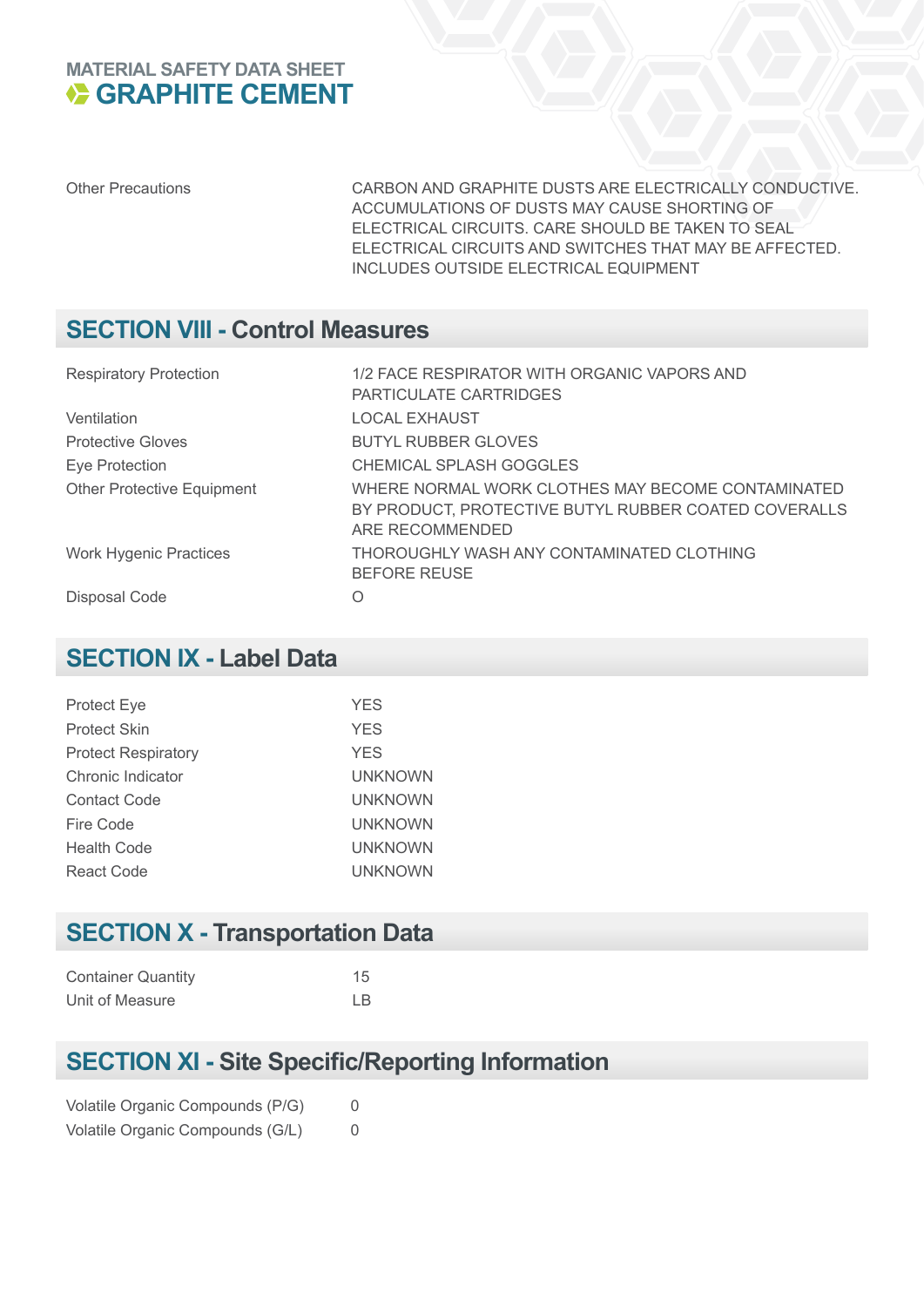#### **MATERIAL SAFETY DATA SHEET E GRAPHITE CEMENT**

Other Precautions CARBON AND GRAPHITE DUSTS ARE ELECTRICALLY CONDUCTIVE. ACCUMULATIONS OF DUSTS MAY CAUSE SHORTING OF ELECTRICAL CIRCUITS. CARE SHOULD BE TAKEN TO SEAL ELECTRICAL CIRCUITS AND SWITCHES THAT MAY BE AFFECTED. INCLUDES OUTSIDE ELECTRICAL EQUIPMENT

#### **SECTION VIII - Control Measures**

| <b>Respiratory Protection</b>     | 1/2 FACE RESPIRATOR WITH ORGANIC VAPORS AND<br>PARTICULATE CARTRIDGES                                                        |
|-----------------------------------|------------------------------------------------------------------------------------------------------------------------------|
| Ventilation                       | <b>LOCAL EXHAUST</b>                                                                                                         |
| <b>Protective Gloves</b>          | <b>BUTYL RUBBER GLOVES</b>                                                                                                   |
| Eye Protection                    | CHEMICAL SPLASH GOGGLES                                                                                                      |
| <b>Other Protective Equipment</b> | WHERE NORMAL WORK CLOTHES MAY BECOME CONTAMINATED<br>BY PRODUCT, PROTECTIVE BUTYL RUBBER COATED COVERALLS<br>ARE RECOMMENDED |
| <b>Work Hygenic Practices</b>     | THOROUGHLY WASH ANY CONTAMINATED CLOTHING<br><b>BEFORE REUSE</b>                                                             |
| Disposal Code                     | Ω                                                                                                                            |

#### **SECTION IX - Label Data**

| <b>Protect Eye</b>         | <b>YES</b>     |
|----------------------------|----------------|
| <b>Protect Skin</b>        | <b>YES</b>     |
| <b>Protect Respiratory</b> | <b>YES</b>     |
| Chronic Indicator          | <b>UNKNOWN</b> |
| <b>Contact Code</b>        | <b>UNKNOWN</b> |
| Fire Code                  | <b>UNKNOWN</b> |
| <b>Health Code</b>         | <b>UNKNOWN</b> |
| React Code                 | <b>UNKNOWN</b> |
|                            |                |

## **SECTION X - Transportation Data**

| <b>Container Quantity</b> | 15  |
|---------------------------|-----|
| Unit of Measure           | LB. |

### **SECTION XI - Site Specific/Reporting Information**

|  | Volatile Organic Compounds (P/G) | 0 |
|--|----------------------------------|---|
|  | Volatile Organic Compounds (G/L) | 0 |